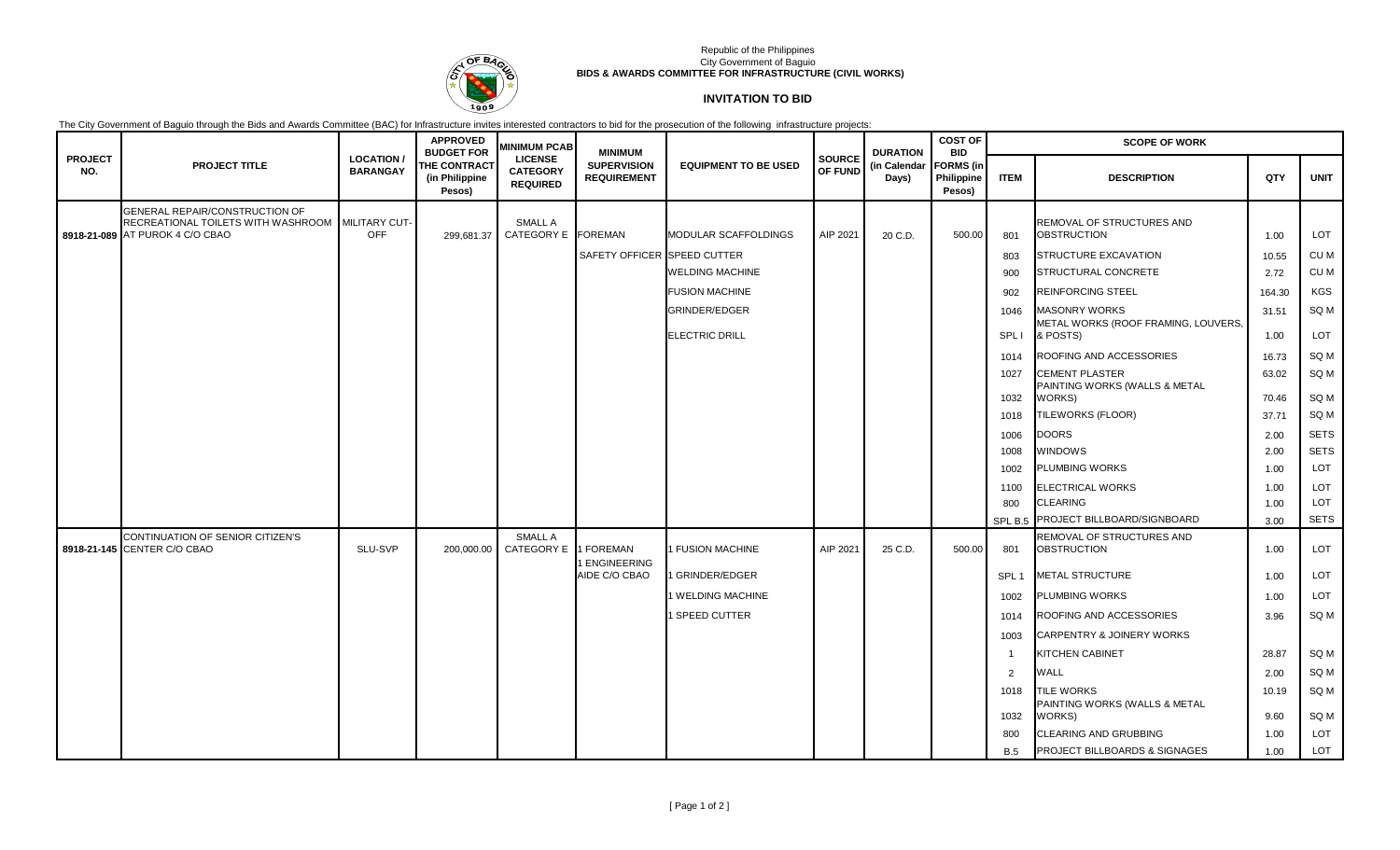

## Republic of the Philippines City Government of Baguio **BIDS & AWARDS COMMITTEE FOR INFRASTRUCTURE (CIVIL WORKS)**

## **INVITATION TO BID**

The City Government of Baguio through the Bids and Awards Committee (BAC) for Infrastructure invites interested contractors to bid for the prosecution of the following infrastructure projects:

|                       |                                                                                                                       |                                     | <b>APPROVED</b><br><b>BUDGET FOR</b>            | <b>MINIMUM PCAB</b>                                  | <b>MINIMUM</b>                           |                             |                          | <b>DURATION</b>       | <b>COST OF</b><br><b>BID</b>             |                  | <b>SCOPE OF WORK</b>                                         |                |              |
|-----------------------|-----------------------------------------------------------------------------------------------------------------------|-------------------------------------|-------------------------------------------------|------------------------------------------------------|------------------------------------------|-----------------------------|--------------------------|-----------------------|------------------------------------------|------------------|--------------------------------------------------------------|----------------|--------------|
| <b>PROJECT</b><br>NO. | <b>PROJECT TITLE</b>                                                                                                  | <b>LOCATION/</b><br><b>BARANGAY</b> | <b>THE CONTRACT</b><br>(in Philippine<br>Pesos) | <b>LICENSE</b><br><b>CATEGORY</b><br><b>REQUIRED</b> | <b>SUPERVISION</b><br><b>REQUIREMENT</b> | <b>EQUIPMENT TO BE USED</b> | <b>SOURCE</b><br>OF FUND | (in Calendar<br>Days) | <b>FORMS</b> (in<br>Philippine<br>Pesos) | <b>ITEM</b>      | <b>DESCRIPTION</b>                                           | QTY            | <b>UNIT</b>  |
|                       | GENERAL REPAIR/CONSTRUCTION OF<br>RECREATIONAL TOILETS WITH WASHROOM MILITARY CUT-<br>8918-21-089 AT PUROK 4 C/O CBAO | <b>OFF</b>                          | 299,681.37                                      | <b>SMALL A</b><br>CATEGORY E FOREMAN                 |                                          | <b>MODULAR SCAFFOLDINGS</b> | AIP 2021                 | 20 C.D.               | 500.00                                   | 801              | REMOVAL OF STRUCTURES AND<br><b>OBSTRUCTION</b>              | 1.00           | <b>LOT</b>   |
|                       |                                                                                                                       |                                     |                                                 |                                                      | SAFETY OFFICER SPEED CUTTER              |                             |                          |                       |                                          | 803              | STRUCTURE EXCAVATION                                         | 10.55          | CU M         |
|                       |                                                                                                                       |                                     |                                                 |                                                      |                                          | <b>WELDING MACHINE</b>      |                          |                       |                                          | 900              | <b>STRUCTURAL CONCRETE</b>                                   | 2.72           | CU M         |
|                       |                                                                                                                       |                                     |                                                 |                                                      |                                          | <b>FUSION MACHINE</b>       |                          |                       |                                          | 902              | <b>REINFORCING STEEL</b>                                     | 164.30         | KGS          |
|                       |                                                                                                                       |                                     |                                                 |                                                      |                                          | <b>GRINDER/EDGER</b>        |                          |                       |                                          | 1046             | <b>MASONRY WORKS</b>                                         | 31.51          | SQ M         |
|                       |                                                                                                                       |                                     |                                                 |                                                      |                                          | <b>ELECTRIC DRILL</b>       |                          |                       |                                          | SPL I            | METAL WORKS (ROOF FRAMING, LOUVERS,<br>& POSTS)              | 1.00           | LOT          |
|                       |                                                                                                                       |                                     |                                                 |                                                      |                                          |                             |                          |                       |                                          | 1014             | ROOFING AND ACCESSORIES                                      | 16.73          | SQ M         |
|                       |                                                                                                                       |                                     |                                                 |                                                      |                                          |                             |                          |                       |                                          | 1027             | <b>CEMENT PLASTER</b><br>PAINTING WORKS (WALLS & METAL       | 63.02          | SQ M<br>SQ M |
|                       |                                                                                                                       |                                     |                                                 |                                                      |                                          |                             |                          |                       |                                          | 1032<br>1018     | WORKS)<br>TILEWORKS (FLOOR)                                  | 70.46<br>37.71 | SQ M         |
|                       |                                                                                                                       |                                     |                                                 |                                                      |                                          |                             |                          |                       |                                          | 1006             | <b>DOORS</b>                                                 | 2.00           | <b>SETS</b>  |
|                       |                                                                                                                       |                                     |                                                 |                                                      |                                          |                             |                          |                       |                                          | 1008             | <b>WINDOWS</b>                                               | 2.00           | <b>SETS</b>  |
|                       |                                                                                                                       |                                     |                                                 |                                                      |                                          |                             |                          |                       |                                          | 1002             | <b>PLUMBING WORKS</b>                                        | 1.00           | LOT          |
|                       |                                                                                                                       |                                     |                                                 |                                                      |                                          |                             |                          |                       |                                          | 1100             | <b>ELECTRICAL WORKS</b>                                      | 1.00           | LOT          |
|                       |                                                                                                                       |                                     |                                                 |                                                      |                                          |                             |                          |                       |                                          | 800              | <b>CLEARING</b>                                              | 1.00           | LOT          |
|                       |                                                                                                                       |                                     |                                                 |                                                      |                                          |                             |                          |                       |                                          | SPL B.5          | PROJECT BILLBOARD/SIGNBOARD                                  | 3.00           | <b>SETS</b>  |
|                       | CONTINUATION OF SENIOR CITIZEN'S<br>8918-21-145 CENTER C/O CBAO                                                       | SLU-SVP                             | 200,000.00                                      | <b>SMALL A</b><br>CATEGORY E                         | 1 FOREMAN                                | <b>FUSION MACHINE</b>       | AIP 2021                 | 25 C.D.               | 500.00                                   | 801              | REMOVAL OF STRUCTURES AND<br><b>OBSTRUCTION</b>              | 1.00           | LOT          |
|                       |                                                                                                                       |                                     |                                                 |                                                      | <b>ENGINEERING</b><br>AIDE C/O CBAO      | <b>GRINDER/EDGER</b>        |                          |                       |                                          | SPL <sub>1</sub> | <b>METAL STRUCTURE</b>                                       | 1.00           | LOT          |
|                       |                                                                                                                       |                                     |                                                 |                                                      |                                          | <b>WELDING MACHINE</b>      |                          |                       |                                          | 1002             | <b>PLUMBING WORKS</b>                                        | 1.00           | <b>LOT</b>   |
|                       |                                                                                                                       |                                     |                                                 |                                                      |                                          | <b>SPEED CUTTER</b>         |                          |                       |                                          | 1014             | ROOFING AND ACCESSORIES                                      | 3.96           | SQ M         |
|                       |                                                                                                                       |                                     |                                                 |                                                      |                                          |                             |                          |                       |                                          | 1003             | CARPENTRY & JOINERY WORKS                                    |                |              |
|                       |                                                                                                                       |                                     |                                                 |                                                      |                                          |                             |                          |                       |                                          | $\overline{1}$   | <b>KITCHEN CABINET</b>                                       | 28.87          | SQ M         |
|                       |                                                                                                                       |                                     |                                                 |                                                      |                                          |                             |                          |                       |                                          | $\overline{2}$   | <b>WALL</b>                                                  | 2.00           | SQ M         |
|                       |                                                                                                                       |                                     |                                                 |                                                      |                                          |                             |                          |                       |                                          | 1018<br>1032     | <b>TILE WORKS</b><br>PAINTING WORKS (WALLS & METAL<br>WORKS) | 10.19<br>9.60  | SQ M<br>SQ M |
|                       |                                                                                                                       |                                     |                                                 |                                                      |                                          |                             |                          |                       |                                          | 800              | <b>CLEARING AND GRUBBING</b>                                 | 1.00           | LOT          |
|                       |                                                                                                                       |                                     |                                                 |                                                      |                                          |                             |                          |                       |                                          | B.5              | <b>PROJECT BILLBOARDS &amp; SIGNAGES</b>                     | 1.00           | <b>LOT</b>   |